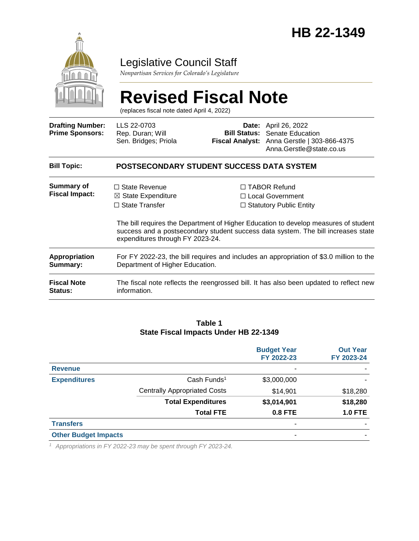

### Legislative Council Staff

*Nonpartisan Services for Colorado's Legislature*

# **Revised Fiscal Note**

(replaces fiscal note dated April 4, 2022)

| <b>Drafting Number:</b><br><b>Prime Sponsors:</b> | LLS 22-0703<br>Rep. Duran; Will<br>Sen. Bridges; Priola                                                                    |                                                                                                                                                                                                                                                              | <b>Date:</b> April 26, 2022<br><b>Bill Status:</b> Senate Education<br>Fiscal Analyst: Anna Gerstle   303-866-4375<br>Anna.Gerstle@state.co.us |  |  |  |
|---------------------------------------------------|----------------------------------------------------------------------------------------------------------------------------|--------------------------------------------------------------------------------------------------------------------------------------------------------------------------------------------------------------------------------------------------------------|------------------------------------------------------------------------------------------------------------------------------------------------|--|--|--|
| <b>Bill Topic:</b>                                | POSTSECONDARY STUDENT SUCCESS DATA SYSTEM                                                                                  |                                                                                                                                                                                                                                                              |                                                                                                                                                |  |  |  |
| <b>Summary of</b><br><b>Fiscal Impact:</b>        | $\Box$ State Revenue<br>$\boxtimes$ State Expenditure<br>$\Box$ State Transfer                                             | $\Box$ TABOR Refund<br>$\Box$ Local Government<br>$\Box$ Statutory Public Entity<br>The bill requires the Department of Higher Education to develop measures of student<br>success and a postsecondary student success data system. The bill increases state |                                                                                                                                                |  |  |  |
|                                                   | expenditures through FY 2023-24.                                                                                           |                                                                                                                                                                                                                                                              |                                                                                                                                                |  |  |  |
| <b>Appropriation</b><br>Summary:                  | For FY 2022-23, the bill requires and includes an appropriation of \$3.0 million to the<br>Department of Higher Education. |                                                                                                                                                                                                                                                              |                                                                                                                                                |  |  |  |
| <b>Fiscal Note</b><br><b>Status:</b>              | information.                                                                                                               |                                                                                                                                                                                                                                                              | The fiscal note reflects the reengrossed bill. It has also been updated to reflect new                                                         |  |  |  |

#### **Table 1 State Fiscal Impacts Under HB 22-1349**

|                             |                                     | <b>Budget Year</b><br>FY 2022-23 | <b>Out Year</b><br>FY 2023-24 |
|-----------------------------|-------------------------------------|----------------------------------|-------------------------------|
| <b>Revenue</b>              |                                     | ۰                                |                               |
| <b>Expenditures</b>         | Cash Funds <sup>1</sup>             | \$3,000,000                      |                               |
|                             | <b>Centrally Appropriated Costs</b> | \$14,901                         | \$18,280                      |
|                             | <b>Total Expenditures</b>           | \$3,014,901                      | \$18,280                      |
|                             | <b>Total FTE</b>                    | <b>0.8 FTE</b>                   | <b>1.0 FTE</b>                |
| <b>Transfers</b>            |                                     | -                                |                               |
| <b>Other Budget Impacts</b> |                                     | ۰                                |                               |
|                             |                                     |                                  |                               |

*<sup>1</sup> Appropriations in FY 2022-23 may be spent through FY 2023-24.*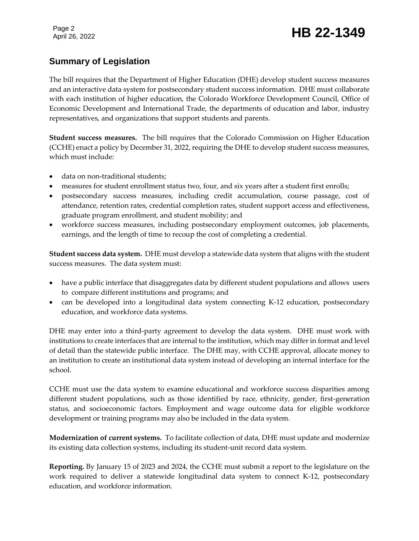## Page 2<br>April 26, 2022 **HB 22-1349**

#### **Summary of Legislation**

The bill requires that the Department of Higher Education (DHE) develop student success measures and an interactive data system for postsecondary student success information. DHE must collaborate with each institution of higher education, the Colorado Workforce Development Council, Office of Economic Development and International Trade, the departments of education and labor, industry representatives, and organizations that support students and parents.

**Student success measures.** The bill requires that the Colorado Commission on Higher Education (CCHE) enact a policy by December 31, 2022, requiring the DHE to develop student success measures, which must include:

- data on non-traditional students;
- measures for student enrollment status two, four, and six years after a student first enrolls;
- postsecondary success measures, including credit accumulation, course passage, cost of attendance, retention rates, credential completion rates, student support access and effectiveness, graduate program enrollment, and student mobility; and
- workforce success measures, including postsecondary employment outcomes, job placements, earnings, and the length of time to recoup the cost of completing a credential.

**Student success data system.** DHE must develop a statewide data system that aligns with the student success measures. The data system must:

- have a public interface that disaggregates data by different student populations and allows users to compare different institutions and programs; and
- can be developed into a longitudinal data system connecting K-12 education, postsecondary education, and workforce data systems.

DHE may enter into a third-party agreement to develop the data system. DHE must work with institutions to create interfaces that are internal to the institution, which may differ in format and level of detail than the statewide public interface. The DHE may, with CCHE approval, allocate money to an institution to create an institutional data system instead of developing an internal interface for the school.

CCHE must use the data system to examine educational and workforce success disparities among different student populations, such as those identified by race, ethnicity, gender, first-generation status, and socioeconomic factors. Employment and wage outcome data for eligible workforce development or training programs may also be included in the data system.

**Modernization of current systems.** To facilitate collection of data, DHE must update and modernize its existing data collection systems, including its student-unit record data system.

**Reporting.** By January 15 of 2023 and 2024, the CCHE must submit a report to the legislature on the work required to deliver a statewide longitudinal data system to connect K-12, postsecondary education, and workforce information.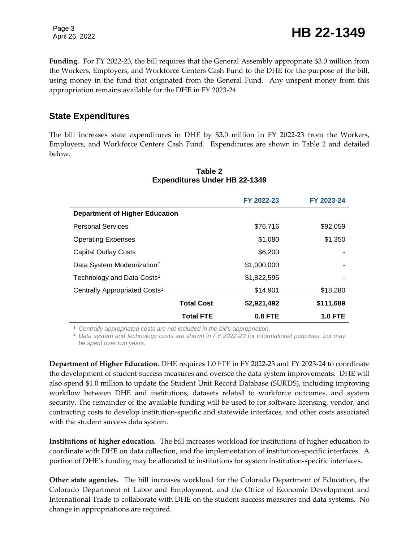Page 3

Page 3<br>April 26, 2022 **HB 22-1349** 

**Funding.** For FY 2022-23, the bill requires that the General Assembly appropriate \$3.0 million from the Workers, Employers, and Workforce Centers Cash Fund to the DHE for the purpose of the bill, using money in the fund that originated from the General Fund. Any unspent money from this appropriation remains available for the DHE in FY 2023-24

#### **State Expenditures**

The bill increases state expenditures in DHE by \$3.0 million in FY 2022-23 from the Workers, Employers, and Workforce Centers Cash Fund. Expenditures are shown in Table 2 and detailed below.

|                                           |                   | FY 2022-23  | FY 2023-24     |  |
|-------------------------------------------|-------------------|-------------|----------------|--|
| <b>Department of Higher Education</b>     |                   |             |                |  |
| <b>Personal Services</b>                  |                   | \$76,716    | \$92,059       |  |
| <b>Operating Expenses</b>                 |                   | \$1,080     | \$1,350        |  |
| <b>Capital Outlay Costs</b>               |                   | \$6,200     |                |  |
| Data System Modernization <sup>2</sup>    |                   | \$1,000,000 |                |  |
| Technology and Data Costs <sup>2</sup>    |                   | \$1,822,595 |                |  |
| Centrally Appropriated Costs <sup>1</sup> |                   | \$14,901    | \$18,280       |  |
|                                           | <b>Total Cost</b> | \$2,921,492 | \$111,689      |  |
|                                           | <b>Total FTE</b>  | $0.8$ FTE   | <b>1.0 FTE</b> |  |

#### **Table 2 Expenditures Under HB 22-1349**

<sup>1</sup> *Centrally appropriated costs are not included in the bill's appropriation.*

<sup>2</sup> *Data system and technology costs are shown in FY 2022-23 for informational purposes, but may be spent over two years.* 

**Department of Higher Education.** DHE requires 1.0 FTE in FY 2022-23 and FY 2023-24 to coordinate the development of student success measures and oversee the data system improvements. DHE will also spend \$1.0 million to update the Student Unit Record Database (SURDS), including improving workflow between DHE and institutions, datasets related to workforce outcomes, and system security. The remainder of the available funding will be used to for software licensing, vendor, and contracting costs to develop institution-specific and statewide interfaces, and other costs associated with the student success data system.

**Institutions of higher education.** The bill increases workload for institutions of higher education to coordinate with DHE on data collection, and the implementation of institution-specific interfaces. A portion of DHE's funding may be allocated to institutions for system institution-specific interfaces.

**Other state agencies.** The bill increases workload for the Colorado Department of Education, the Colorado Department of Labor and Employment, and the Office of Economic Development and International Trade to collaborate with DHE on the student success measures and data systems. No change in appropriations are required.